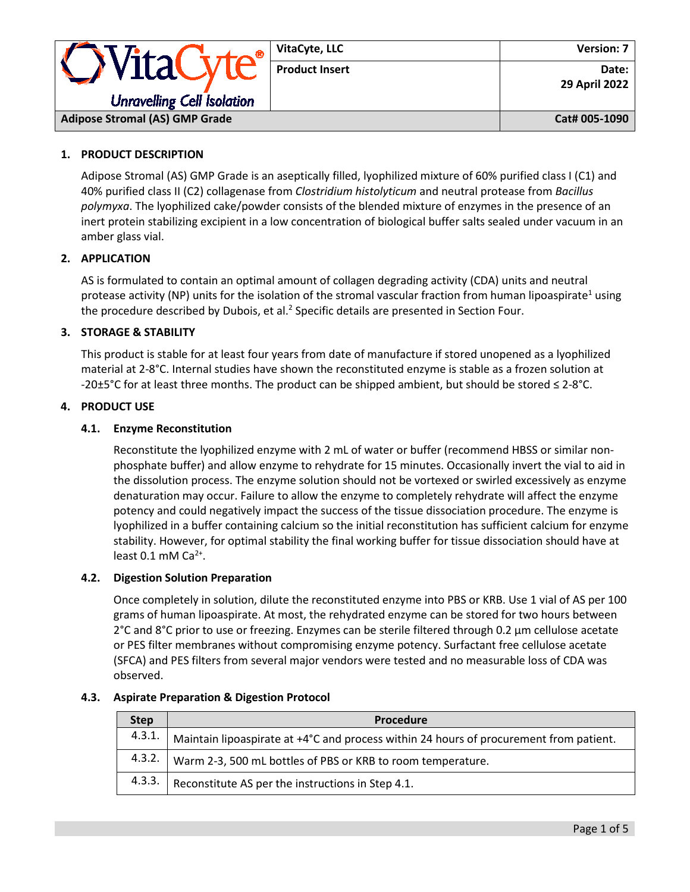|                                       | VitaCyte, LLC         | <b>Version: 7</b>      |
|---------------------------------------|-----------------------|------------------------|
| VITAU                                 | <b>Product Insert</b> | Date:<br>29 April 2022 |
| <b>Unravelling Cell Isolation</b>     |                       |                        |
| <b>Adipose Stromal (AS) GMP Grade</b> |                       | Cat# 005-1090          |

# **1. PRODUCT DESCRIPTION**

Adipose Stromal (AS) GMP Grade is an aseptically filled, lyophilized mixture of 60% purified class I (C1) and 40% purified class II (C2) collagenase from *Clostridium histolyticum* and neutral protease from *Bacillus polymyxa*. The lyophilized cake/powder consists of the blended mixture of enzymes in the presence of an inert protein stabilizing excipient in a low concentration of biological buffer salts sealed under vacuum in an amber glass vial.

# **2. APPLICATION**

AS is formulated to contain an optimal amount of collagen degrading activity (CDA) units and neutral protease activity (NP) units for the isolation of the stromal vascular fraction from human lipoaspirate<sup>1</sup> using the procedure described by Dubois, et al.<sup>2</sup> Specific details are presented in Section Four.

# **3. STORAGE & STABILITY**

This product is stable for at least four years from date of manufacture if stored unopened as a lyophilized material at 2-8°C. Internal studies have shown the reconstituted enzyme is stable as a frozen solution at -20±5°C for at least three months. The product can be shipped ambient, but should be stored ≤ 2-8°C.

# **4. PRODUCT USE**

# **4.1. Enzyme Reconstitution**

Reconstitute the lyophilized enzyme with 2 mL of water or buffer (recommend HBSS or similar nonphosphate buffer) and allow enzyme to rehydrate for 15 minutes. Occasionally invert the vial to aid in the dissolution process. The enzyme solution should not be vortexed or swirled excessively as enzyme denaturation may occur. Failure to allow the enzyme to completely rehydrate will affect the enzyme potency and could negatively impact the success of the tissue dissociation procedure. The enzyme is lyophilized in a buffer containing calcium so the initial reconstitution has sufficient calcium for enzyme stability. However, for optimal stability the final working buffer for tissue dissociation should have at least  $0.1$  mM Ca<sup>2+</sup>.

# **4.2. Digestion Solution Preparation**

Once completely in solution, dilute the reconstituted enzyme into PBS or KRB. Use 1 vial of AS per 100 grams of human lipoaspirate. At most, the rehydrated enzyme can be stored for two hours between 2°C and 8°C prior to use or freezing. Enzymes can be sterile filtered through 0.2 μm cellulose acetate or PES filter membranes without compromising enzyme potency. Surfactant free cellulose acetate (SFCA) and PES filters from several major vendors were tested and no measurable loss of CDA was observed.

| <b>Step</b> | <b>Procedure</b>                                                                       |
|-------------|----------------------------------------------------------------------------------------|
| 4.3.1.      | Maintain lipoaspirate at +4°C and process within 24 hours of procurement from patient. |
|             | 4.3.2.   Warm 2-3, 500 mL bottles of PBS or KRB to room temperature.                   |
| 4.3.3.      | Reconstitute AS per the instructions in Step 4.1.                                      |

# **4.3. Aspirate Preparation & Digestion Protocol**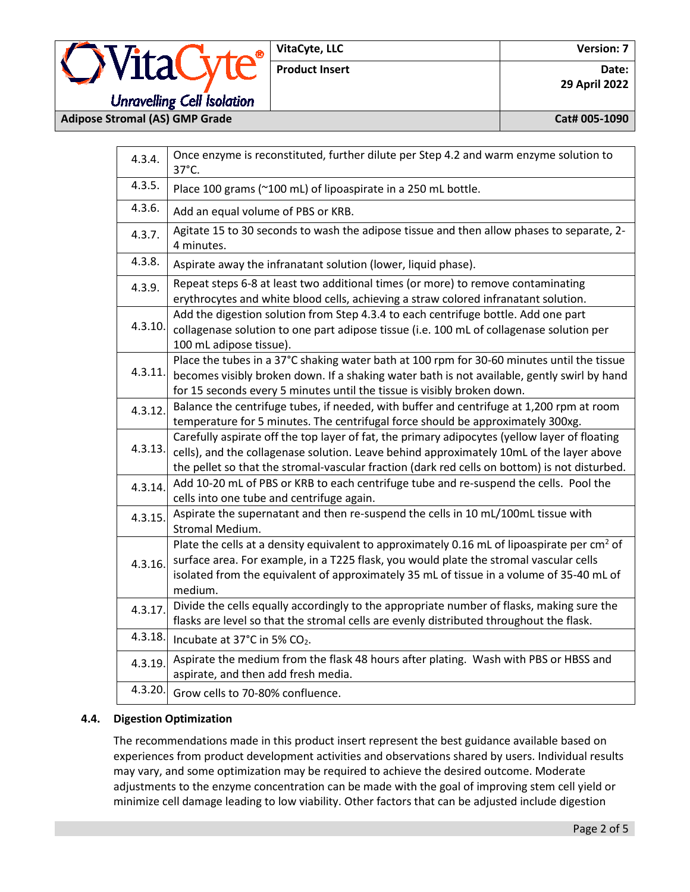# **Unravelling Cell Isolation**

VitaCyte®

**Adipose Stromal (AS) GMP Grade Cat# 005-1090**

| 4.3.4.  | Once enzyme is reconstituted, further dilute per Step 4.2 and warm enzyme solution to<br>37°C.                                                                                                                                                                                                           |  |  |  |
|---------|----------------------------------------------------------------------------------------------------------------------------------------------------------------------------------------------------------------------------------------------------------------------------------------------------------|--|--|--|
| 4.3.5.  | Place 100 grams (~100 mL) of lipoaspirate in a 250 mL bottle.                                                                                                                                                                                                                                            |  |  |  |
| 4.3.6.  | Add an equal volume of PBS or KRB.                                                                                                                                                                                                                                                                       |  |  |  |
| 4.3.7.  | Agitate 15 to 30 seconds to wash the adipose tissue and then allow phases to separate, 2-<br>4 minutes.                                                                                                                                                                                                  |  |  |  |
| 4.3.8.  | Aspirate away the infranatant solution (lower, liquid phase).                                                                                                                                                                                                                                            |  |  |  |
| 4.3.9.  | Repeat steps 6-8 at least two additional times (or more) to remove contaminating<br>erythrocytes and white blood cells, achieving a straw colored infranatant solution.                                                                                                                                  |  |  |  |
| 4.3.10  | Add the digestion solution from Step 4.3.4 to each centrifuge bottle. Add one part<br>collagenase solution to one part adipose tissue (i.e. 100 mL of collagenase solution per<br>100 mL adipose tissue).                                                                                                |  |  |  |
| 4.3.11. | Place the tubes in a 37°C shaking water bath at 100 rpm for 30-60 minutes until the tissue<br>becomes visibly broken down. If a shaking water bath is not available, gently swirl by hand<br>for 15 seconds every 5 minutes until the tissue is visibly broken down.                                     |  |  |  |
| 4.3.12. | Balance the centrifuge tubes, if needed, with buffer and centrifuge at 1,200 rpm at room<br>temperature for 5 minutes. The centrifugal force should be approximately 300xg.                                                                                                                              |  |  |  |
| 4.3.13. | Carefully aspirate off the top layer of fat, the primary adipocytes (yellow layer of floating<br>cells), and the collagenase solution. Leave behind approximately 10mL of the layer above<br>the pellet so that the stromal-vascular fraction (dark red cells on bottom) is not disturbed.               |  |  |  |
| 4.3.14. | Add 10-20 mL of PBS or KRB to each centrifuge tube and re-suspend the cells. Pool the<br>cells into one tube and centrifuge again.                                                                                                                                                                       |  |  |  |
| 4.3.15. | Aspirate the supernatant and then re-suspend the cells in 10 mL/100mL tissue with<br>Stromal Medium.                                                                                                                                                                                                     |  |  |  |
| 4.3.16. | Plate the cells at a density equivalent to approximately 0.16 mL of lipoaspirate per cm <sup>2</sup> of<br>surface area. For example, in a T225 flask, you would plate the stromal vascular cells<br>isolated from the equivalent of approximately 35 mL of tissue in a volume of 35-40 mL of<br>medium. |  |  |  |
| 4.3.17. | Divide the cells equally accordingly to the appropriate number of flasks, making sure the<br>flasks are level so that the stromal cells are evenly distributed throughout the flask.                                                                                                                     |  |  |  |
| 4.3.18. | Incubate at 37°C in 5% CO2.                                                                                                                                                                                                                                                                              |  |  |  |
| 4.3.19  | Aspirate the medium from the flask 48 hours after plating. Wash with PBS or HBSS and<br>aspirate, and then add fresh media.                                                                                                                                                                              |  |  |  |
| 4.3.20. | Grow cells to 70-80% confluence.                                                                                                                                                                                                                                                                         |  |  |  |

# **4.4. Digestion Optimization**

The recommendations made in this product insert represent the best guidance available based on experiences from product development activities and observations shared by users. Individual results may vary, and some optimization may be required to achieve the desired outcome. Moderate adjustments to the enzyme concentration can be made with the goal of improving stem cell yield or minimize cell damage leading to low viability. Other factors that can be adjusted include digestion

# Product Insert **Date: Date: Date: Date: Date: 29 April 2022**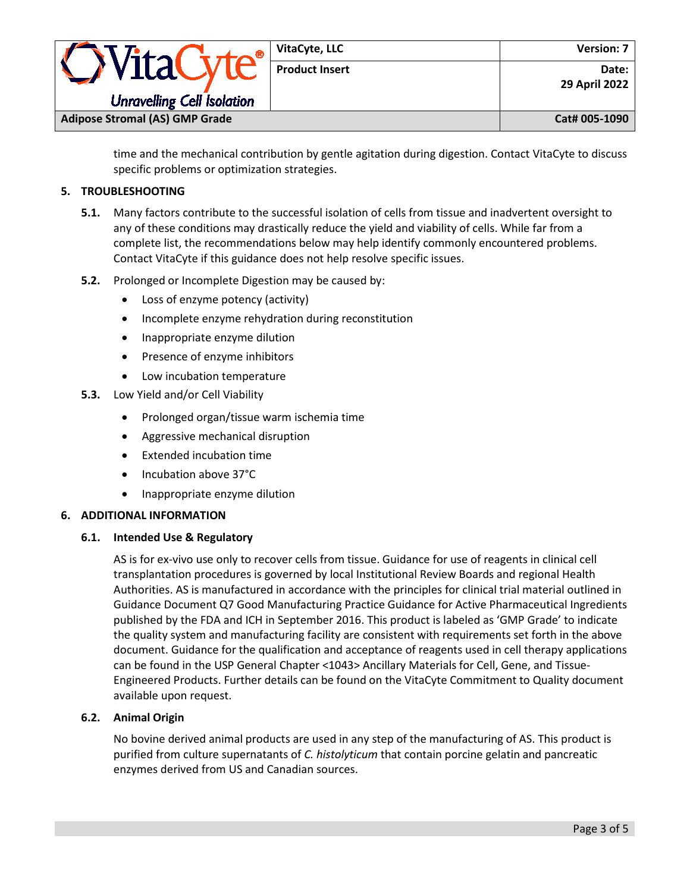| Vita(                                 | VitaCyte, LLC         | Version: 7             |  |
|---------------------------------------|-----------------------|------------------------|--|
|                                       | <b>Product Insert</b> | Date:<br>29 April 2022 |  |
| <b>Unravelling Cell Isolation</b>     |                       |                        |  |
| <b>Adipose Stromal (AS) GMP Grade</b> |                       | Cat# 005-1090          |  |

time and the mechanical contribution by gentle agitation during digestion. Contact VitaCyte to discuss specific problems or optimization strategies.

# **5. TROUBLESHOOTING**

- **5.1.** Many factors contribute to the successful isolation of cells from tissue and inadvertent oversight to any of these conditions may drastically reduce the yield and viability of cells. While far from a complete list, the recommendations below may help identify commonly encountered problems. Contact VitaCyte if this guidance does not help resolve specific issues.
- **5.2.** Prolonged or Incomplete Digestion may be caused by:
	- Loss of enzyme potency (activity)
	- Incomplete enzyme rehydration during reconstitution
	- Inappropriate enzyme dilution
	- Presence of enzyme inhibitors
	- Low incubation temperature
- **5.3.** Low Yield and/or Cell Viability
	- Prolonged organ/tissue warm ischemia time
	- Aggressive mechanical disruption
	- Extended incubation time
	- Incubation above 37°C
	- Inappropriate enzyme dilution

# **6. ADDITIONAL INFORMATION**

# **6.1. Intended Use & Regulatory**

AS is for ex-vivo use only to recover cells from tissue. Guidance for use of reagents in clinical cell transplantation procedures is governed by local Institutional Review Boards and regional Health Authorities. AS is manufactured in accordance with the principles for clinical trial material outlined in Guidance Document Q7 Good Manufacturing Practice Guidance for Active Pharmaceutical Ingredients published by the FDA and ICH in September 2016. This product is labeled as 'GMP Grade' to indicate the quality system and manufacturing facility are consistent with requirements set forth in the above document. Guidance for the qualification and acceptance of reagents used in cell therapy applications can be found in the USP General Chapter <1043> Ancillary Materials for Cell, Gene, and Tissue-Engineered Products. Further details can be found on the VitaCyte Commitment to Quality document available upon request.

# **6.2. Animal Origin**

No bovine derived animal products are used in any step of the manufacturing of AS. This product is purified from culture supernatants of *C. histolyticum* that contain porcine gelatin and pancreatic enzymes derived from US and Canadian sources.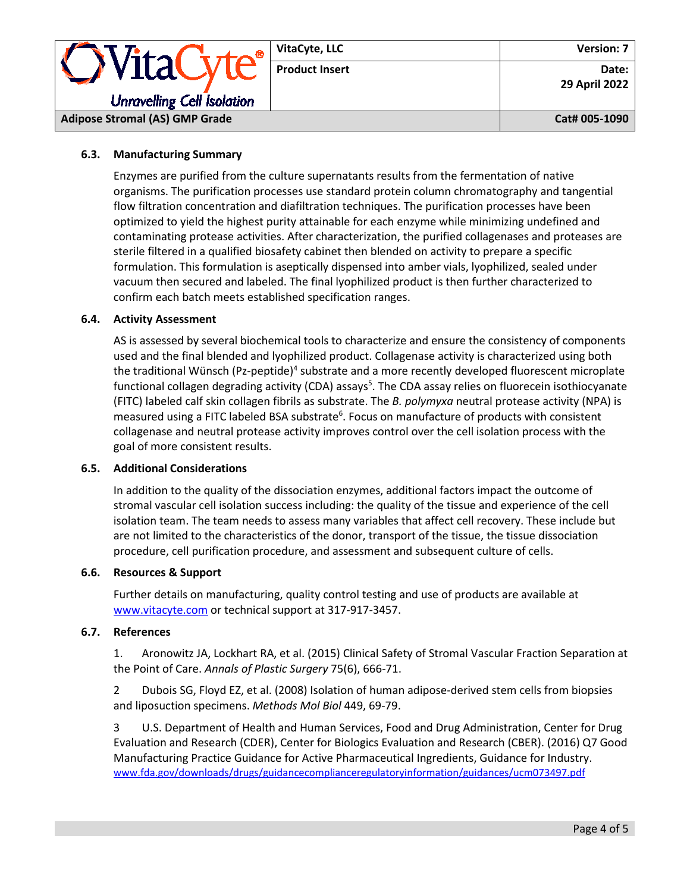|                                       | VitaCyte, LLC         | <b>Version: 7</b>      |
|---------------------------------------|-----------------------|------------------------|
| <i><b>OVitaCyte</b></i>               | <b>Product Insert</b> | Date:<br>29 April 2022 |
| <b>Unravelling Cell Isolation</b>     |                       |                        |
| <b>Adipose Stromal (AS) GMP Grade</b> |                       | Cat# 005-1090          |

# **6.3. Manufacturing Summary**

Enzymes are purified from the culture supernatants results from the fermentation of native organisms. The purification processes use standard protein column chromatography and tangential flow filtration concentration and diafiltration techniques. The purification processes have been optimized to yield the highest purity attainable for each enzyme while minimizing undefined and contaminating protease activities. After characterization, the purified collagenases and proteases are sterile filtered in a qualified biosafety cabinet then blended on activity to prepare a specific formulation. This formulation is aseptically dispensed into amber vials, lyophilized, sealed under vacuum then secured and labeled. The final lyophilized product is then further characterized to confirm each batch meets established specification ranges.

#### **6.4. Activity Assessment**

AS is assessed by several biochemical tools to characterize and ensure the consistency of components used and the final blended and lyophilized product. Collagenase activity is characterized using both the traditional Wünsch (Pz-peptide)<sup>4</sup> substrate and a more recently developed fluorescent microplate functional collagen degrading activity (CDA) assays<sup>5</sup>. The CDA assay relies on fluorecein isothiocyanate (FITC) labeled calf skin collagen fibrils as substrate. The *B. polymyxa* neutral protease activity (NPA) is measured using a FITC labeled BSA substrate<sup>6</sup>. Focus on manufacture of products with consistent collagenase and neutral protease activity improves control over the cell isolation process with the goal of more consistent results.

#### **6.5. Additional Considerations**

In addition to the quality of the dissociation enzymes, additional factors impact the outcome of stromal vascular cell isolation success including: the quality of the tissue and experience of the cell isolation team. The team needs to assess many variables that affect cell recovery. These include but are not limited to the characteristics of the donor, transport of the tissue, the tissue dissociation procedure, cell purification procedure, and assessment and subsequent culture of cells.

#### **6.6. Resources & Support**

Further details on manufacturing, quality control testing and use of products are available at [www.vitacyte.com](http://www.vitacyte.com/) or technical support at 317-917-3457.

#### **6.7. References**

1. Aronowitz JA, Lockhart RA, et al. (2015) Clinical Safety of Stromal Vascular Fraction Separation at the Point of Care. *Annals of Plastic Surgery* 75(6), 666-71.

2 Dubois SG, Floyd EZ, et al. (2008) Isolation of human adipose-derived stem cells from biopsies and liposuction specimens. *Methods Mol Biol* 449, 69-79.

3 U.S. Department of Health and Human Services, Food and Drug Administration, Center for Drug Evaluation and Research (CDER), Center for Biologics Evaluation and Research (CBER). (2016) Q7 Good Manufacturing Practice Guidance for Active Pharmaceutical Ingredients, Guidance for Industry. [www.fda.gov/downloads/drugs/guidancecomplianceregulatoryinformation/guidances/ucm073497.pdf](http://www.fda.gov/downloads/drugs/guidancecomplianceregulatoryinformation/guidances/ucm073497.pdf)